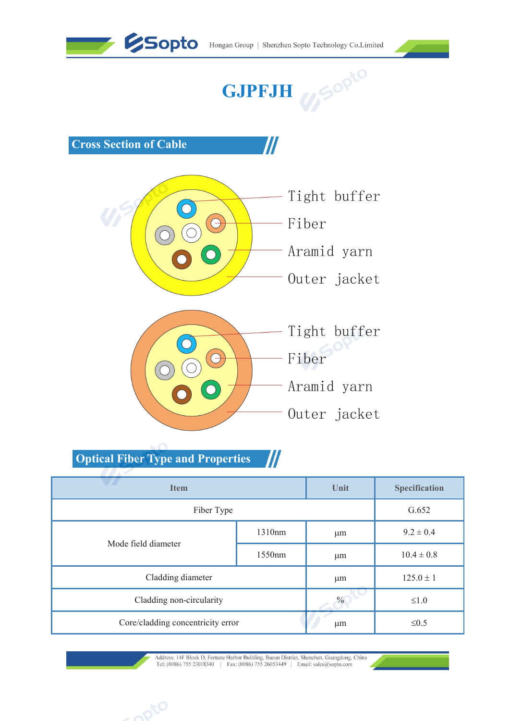

## **GJPFJH**  $u^{S^{\text{optO}}}$





|                                          |           | Aramid yarn   |                      |
|------------------------------------------|-----------|---------------|----------------------|
|                                          |           | Outer jacket  |                      |
| <b>Optical Fiber Type and Properties</b> | $I\!I\!I$ |               |                      |
| <b>Item</b>                              |           | Unit          | <b>Specification</b> |
| Fiber Type                               |           |               | G.652                |
| Mode field diameter                      | 1310nm    | $\mu$ m       | $9.2 \pm 0.4$        |
|                                          | 1550nm    | $\mu$ m       | $10.4 \pm 0.8$       |
| Cladding diameter                        |           | $\mu$ m       | $125.0 \pm 1$        |
| Cladding non-circularity                 |           | $\frac{0}{0}$ | ${\le}1.0$           |
| Core/cladding concentricity error        |           | $\mu$ m       | $\leq 0.5$           |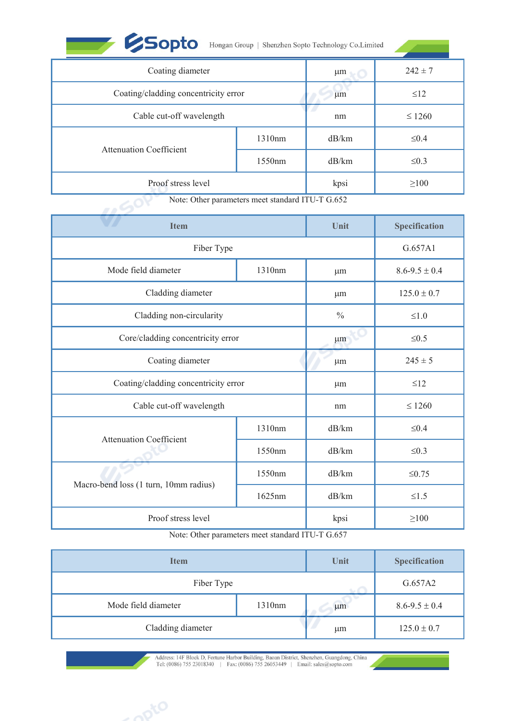| <b>ESopto</b>                        | Hongan Group   Shenzhen Sopto Technology Co.Limited |         |             |
|--------------------------------------|-----------------------------------------------------|---------|-------------|
| Coating diameter                     |                                                     | $\mu$ m | $242 \pm 7$ |
|                                      |                                                     |         |             |
| Coating/cladding concentricity error |                                                     | $\mu$ m | $\leq 12$   |
| Cable cut-off wavelength             |                                                     | nm      | $\leq 1260$ |

| <b>ESopto</b>                        |                                                  | Hongan Group   Shenzhen Sopto Technology Co.Limited |                     |
|--------------------------------------|--------------------------------------------------|-----------------------------------------------------|---------------------|
| Coating diameter                     |                                                  | $\mu$ m                                             | $242\pm7$           |
| Coating/cladding concentricity error |                                                  | $\mu$ m                                             | $\leq$ 12           |
| Cable cut-off wavelength             |                                                  | nm                                                  | $\leq 1260$         |
|                                      | 1310nm                                           | dB/km                                               | $\leq 0.4$          |
| <b>Attenuation Coefficient</b>       | 1550nm                                           | dB/km                                               | $\leq 0.3$          |
| Proof stress level                   |                                                  | kpsi                                                | $\geq 100$          |
|                                      | Note: Other parameters meet standard ITU-T G.652 |                                                     |                     |
| <b>Item</b>                          |                                                  | Unit                                                | Specification       |
| Fiber Type                           |                                                  |                                                     | G.657A1             |
| Mode field diameter                  | 1310nm                                           | $\mu$ m                                             | $8.6 - 9.5 \pm 0.4$ |
| $C(1, 1, 1)$ $C(1, 1)$               |                                                  |                                                     | 1070107             |

|                                       | 1310nm                                           | dB/km         | $\leq 0.4$           |
|---------------------------------------|--------------------------------------------------|---------------|----------------------|
| <b>Attenuation Coefficient</b>        | 1550nm                                           | dB/km         | $\leq 0.3$           |
| Proof stress level                    |                                                  | kpsi          | $\geq 100$           |
|                                       | Note: Other parameters meet standard ITU-T G.652 |               |                      |
| <b>Item</b>                           |                                                  | Unit          | Specification        |
| Fiber Type                            |                                                  |               | G.657A1              |
| Mode field diameter                   | 1310nm                                           | μm            | $8.6 - 9.5 \pm 0.4$  |
| Cladding diameter                     |                                                  | μm            | $125.0 \pm 0.7$      |
| Cladding non-circularity              |                                                  | $\frac{0}{0}$ | ${\le}1.0$           |
| Core/cladding concentricity error     |                                                  | μm            | $\leq 0.5$           |
| Coating diameter                      |                                                  | $\mu$ m       | $245 \pm 5$          |
| Coating/cladding concentricity error  |                                                  | μm            | $\leq$ 12            |
| Cable cut-off wavelength              |                                                  | nm            | $\leq 1260$          |
|                                       | 1310nm                                           | dB/km         | ${\leq}0.4$          |
| <b>Attenuation Coefficient</b>        | 1550nm                                           | dB/km         | $\leq 0.3$           |
|                                       | 1550nm                                           | dB/km         | $\leq 0.75$          |
| Macro-bend loss (1 turn, 10mm radius) | 1625nm                                           | dB/km         | $\leq1.5$            |
| Proof stress level                    |                                                  | kpsi          | $\geq$ 100           |
|                                       | Note: Other parameters meet standard ITU-T G.657 |               |                      |
| <b>Item</b>                           |                                                  | Unit          | <b>Specification</b> |
| Fiber Type                            |                                                  |               | G.657A2              |
| Mode field diameter                   | 1310nm                                           | μm            | $8.6 - 9.5 \pm 0.4$  |
|                                       |                                                  |               |                      |

|                                                                                           | 1550nm                                           | dB/km                  | $\leq 0.75$          |
|-------------------------------------------------------------------------------------------|--------------------------------------------------|------------------------|----------------------|
| Macro-bend loss (1 turn, 10mm radius)                                                     | 1625nm                                           | dB/km                  | $\leq1.5$            |
| Proof stress level                                                                        |                                                  | kpsi                   | $\geq 100$           |
|                                                                                           | Note: Other parameters meet standard ITU-T G.657 |                        |                      |
| <b>Item</b>                                                                               |                                                  | Unit                   | <b>Specification</b> |
| Fiber Type                                                                                |                                                  |                        | G.657A2              |
| Mode field diameter                                                                       | 1310nm                                           | $\mu$ m                | $8.6 - 9.5 \pm 0.4$  |
| Cladding diameter                                                                         |                                                  | $\mu$ m                | $125.0 \pm 0.7$      |
| Address: 14F Block D, Fortune Harbor Building, Baoan District, Shenzhen, Guangdong, China |                                                  |                        |                      |
| Tel: (0086) 755 23018340                                                                  | Fax: (0086) 755 26053449                         | Email: sales@sopto.com |                      |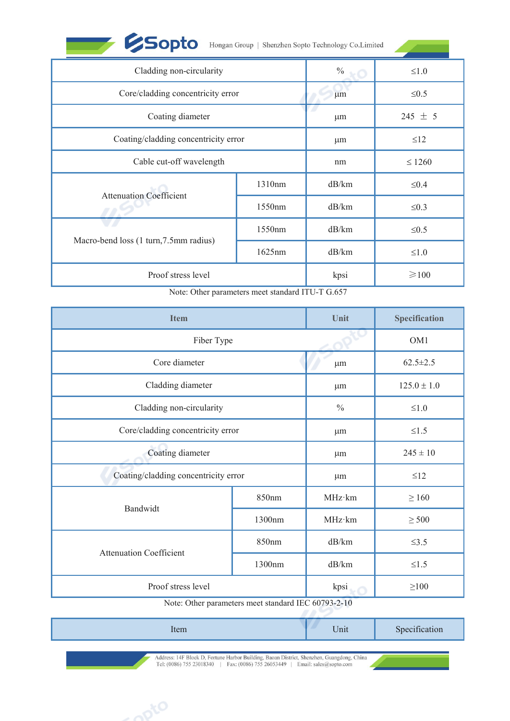| <b>Sopto</b> Hongan Group   Shenzhen Sopto Technology Co.Limited |  |
|------------------------------------------------------------------|--|
|                                                                  |  |

| <b>ESopto</b>                          | Hongan Group   Shenzhen Sopto Technology Co.Limited |         |                                    |
|----------------------------------------|-----------------------------------------------------|---------|------------------------------------|
| Cladding non-circularity               |                                                     | $\%$    | $\leq1.0$                          |
| Core/cladding concentricity error      |                                                     | $\mu$ m | $\leq 0.5$                         |
| Coating diameter                       |                                                     | $\mu$ m | 245 $\pm$ 5                        |
| Coating/cladding concentricity error   |                                                     | $\mu$ m | $\leq 12$                          |
| Cable cut-off wavelength               |                                                     | nm      | $\leq 1260$                        |
| <b>Attenuation Coefficient</b>         | 1310nm                                              | dB/km   | $\leq 0.4$                         |
|                                        | 1550nm                                              | dB/km   | $\leq 0.3$                         |
|                                        | 1550nm                                              | dB/km   | ${\leq}0.5$                        |
| Macro-bend loss (1 turn, 7.5mm radius) | 1625nm                                              | dB/km   | $\leq1.0$                          |
| Proof stress level                     |                                                     | kpsi    | $\geq 100$                         |
|                                        | Note: Other parameters meet standard ITU-T G.657    |         |                                    |
| <b>Item</b>                            |                                                     | Unit    | Specification                      |
| Fiber Type                             |                                                     |         | OM1                                |
| Core diameter                          |                                                     | μm      | $62.5 \pm 2.5$                     |
| $01 - 11$<br>$\cdot$                   |                                                     |         | $\sim$ $\sim$ $\sim$ $\sim$ $\sim$ |

|                                        | 1550nm                                              | dB/km         | $\leq 0.5$      |
|----------------------------------------|-----------------------------------------------------|---------------|-----------------|
| Macro-bend loss (1 turn, 7.5mm radius) | 1625nm                                              | dB/km         | $\leq1.0$       |
| Proof stress level                     |                                                     | kpsi          | $\geq 100$      |
|                                        | Note: Other parameters meet standard ITU-T G.657    |               |                 |
| <b>Item</b>                            |                                                     | Unit          | Specification   |
| Fiber Type                             |                                                     |               | OM1             |
| Core diameter                          |                                                     | $\mu$ m       | $62.5 \pm 2.5$  |
| Cladding diameter                      |                                                     | μm            | $125.0 \pm 1.0$ |
| Cladding non-circularity               |                                                     | $\frac{0}{0}$ | $\leq1.0$       |
| Core/cladding concentricity error      |                                                     | μm            | $\leq1.5$       |
| Coating diameter                       |                                                     | $\mu$ m       | $245 \pm 10$    |
| Coating/cladding concentricity error   |                                                     | μm            | $\leq$ 12       |
|                                        | 850nm                                               | MHz·km        | $\geq 160$      |
| Bandwidt                               | 1300nm                                              | MHz·km        | $\geq$ 500      |
|                                        | 850nm                                               | dB/km         | $\leq$ 3.5      |
| <b>Attenuation Coefficient</b>         | 1300nm                                              | dB/km         | $\leq1.5$       |
| Proof stress level                     |                                                     | kpsi          | $\geq 100$      |
|                                        | Note: Other parameters meet standard IEC 60793-2-10 |               |                 |
| Item                                   |                                                     | Unit          | Specification   |
|                                        |                                                     |               |                 |

Ī

| Item                                                                                       | Unit | Specification |
|--------------------------------------------------------------------------------------------|------|---------------|
| Address: 14F Block D. Fortune Harbor Building. Baoan District, Shenzhen, Guangdong, China. |      |               |

Tel: (0086) 755 23018340 | Fax: (0086) 755 26053449 | Email: sales@sopto.com

 $\mathcal{L}$  and  $\mathcal{L}$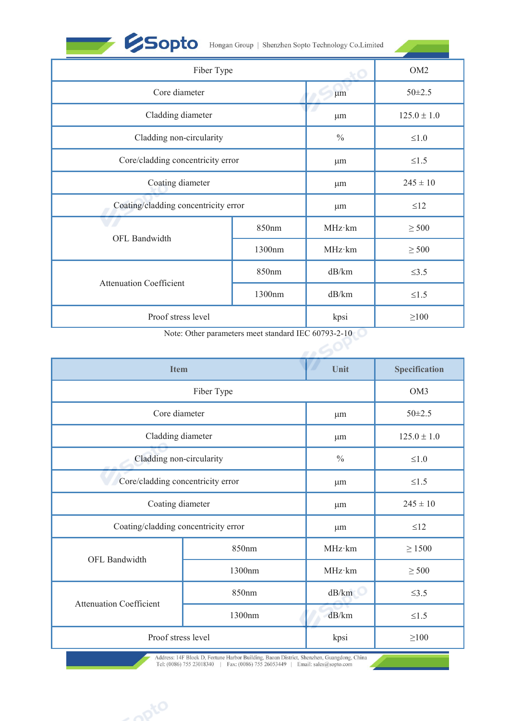| Shenzhen Sopto Technology Co.Limited<br>Hongan Group |
|------------------------------------------------------|
|------------------------------------------------------|

|                                      |            | 850nm                                               | dB/km           | $\leq$ 3.5           |
|--------------------------------------|------------|-----------------------------------------------------|-----------------|----------------------|
| <b>Attenuation Coefficient</b>       |            | 1300nm                                              | dB/km           | $\leq1.5$            |
| Proof stress level                   |            |                                                     | kpsi            | $\geq 100$           |
|                                      |            | Note: Other parameters meet standard IEC 60793-2-10 |                 |                      |
|                                      |            |                                                     |                 |                      |
| <b>Item</b>                          |            |                                                     | Unit            | <b>Specification</b> |
|                                      | Fiber Type |                                                     |                 | OM3                  |
| Core diameter                        |            |                                                     | μm              | $50 \pm 2.5$         |
| Cladding diameter                    |            | μm                                                  | $125.0 \pm 1.0$ |                      |
| Cladding non-circularity             |            | $\frac{0}{0}$                                       | $\leq1.0$       |                      |
| Core/cladding concentricity error    |            | μm                                                  | $\leq1.5$       |                      |
| Coating diameter                     |            | μm                                                  | $245 \pm 10$    |                      |
| Coating/cladding concentricity error |            | μm                                                  | $\leq 12$       |                      |
|                                      |            | 850nm                                               | MHz·km          | $\geq 1500$          |
| OFL Bandwidth                        |            | 1300nm                                              | MHz·km          | $\geq$ 500           |
|                                      |            | 850nm                                               | dB/km           | $\leq$ 3.5           |
| <b>Attenuation Coefficient</b>       | 1300nm     |                                                     | dB/km           | $\leq1.5$            |
| Proof stress level                   |            | kpsi                                                | $\geq$ 100      |                      |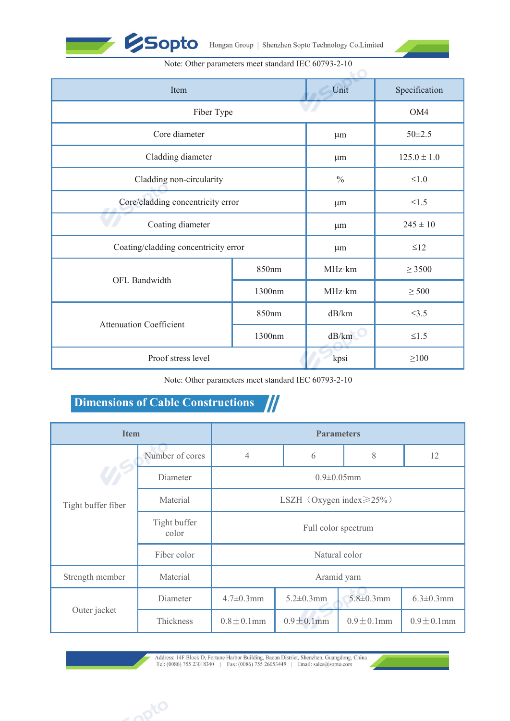



| Note: Other parameters meet standard IEC 60793-2-10 |
|-----------------------------------------------------|
|-----------------------------------------------------|

|                                   |                                      | Note: Other parameters meet standard IEC 60793-2-10 |  |                       |        |  |                 |
|-----------------------------------|--------------------------------------|-----------------------------------------------------|--|-----------------------|--------|--|-----------------|
|                                   | Item                                 |                                                     |  | Unit<br>Specification |        |  |                 |
|                                   | Fiber Type                           |                                                     |  |                       |        |  | OM4             |
|                                   | Core diameter                        |                                                     |  | $\mu$ m               |        |  | $50 \pm 2.5$    |
|                                   | Cladding diameter                    |                                                     |  | μm                    |        |  | $125.0 \pm 1.0$ |
|                                   | Cladding non-circularity             |                                                     |  | $\%$                  |        |  | ${\le}1.0$      |
| Core/cladding concentricity error |                                      |                                                     |  | μm                    |        |  | $\leq1.5$       |
|                                   | Coating diameter                     |                                                     |  | μm                    |        |  | $245 \pm 10$    |
|                                   | Coating/cladding concentricity error |                                                     |  | $\mu$ m               |        |  | $\leq$ 12       |
|                                   |                                      | 850nm                                               |  |                       | MHz·km |  | $\geq$ 3500     |
|                                   | OFL Bandwidth                        | 1300nm                                              |  | MHz·km                |        |  | $\geq$ 500      |
|                                   |                                      | 850nm                                               |  |                       | dB/km  |  | $\leq$ 3.5      |
| <b>Attenuation Coefficient</b>    |                                      | 1300nm                                              |  | dB/km                 |        |  | $\leq1.5$       |
| Proof stress level                |                                      |                                                     |  |                       | kpsi   |  | $\geq 100$      |
|                                   |                                      | Note: Other parameters meet standard IEC 60793-2-10 |  |                       |        |  |                 |
|                                   | Dimensions of Cable Constructions    |                                                     |  |                       |        |  |                 |
| <b>Item</b>                       |                                      |                                                     |  | <b>Parameters</b>     |        |  |                 |
| Number of cores                   |                                      | $\overline{4}$                                      |  | $8\,$<br>6            |        |  | 12              |

| <b>Attenuation Coefficient</b><br>dB/km<br>1300nm<br>$\leq1.5$<br>Proof stress level<br>$\geq100$<br>kpsi<br>Note: Other parameters meet standard IEC 60793-2-10<br><b>Dimensions of Cable Constructions</b><br><b>Item</b><br><b>Parameters</b><br>Number of cores<br>$\overline{4}$<br>8<br>12<br>6<br>Diameter<br>$0.9 \pm 0.05$ mm<br>Material<br>LSZH (Oxygen index≥25%)<br>Tight buffer fiber<br>Tight buffer<br>Full color spectrum<br>color<br>Fiber color<br>Natural color<br>Strength member<br>Aramid yarn<br>Material<br>$4.7 \pm 0.3$ mm<br>$5.8 \pm 0.3$ mm<br>$6.3 \pm 0.3$ mm<br>Diameter<br>$5.2 \pm 0.3$ mm<br>Outer jacket<br>$0.9 \pm 0.1$ mm<br>$0.9 \pm 0.1$ mm<br>$0.9 \pm 0.1$ mm<br>Thickness<br>$0.8 \pm 0.1$ mm |  |  |  |  |  |  |  |  |  |  |  |
|--------------------------------------------------------------------------------------------------------------------------------------------------------------------------------------------------------------------------------------------------------------------------------------------------------------------------------------------------------------------------------------------------------------------------------------------------------------------------------------------------------------------------------------------------------------------------------------------------------------------------------------------------------------------------------------------------------------------------------------------|--|--|--|--|--|--|--|--|--|--|--|
|                                                                                                                                                                                                                                                                                                                                                                                                                                                                                                                                                                                                                                                                                                                                            |  |  |  |  |  |  |  |  |  |  |  |
|                                                                                                                                                                                                                                                                                                                                                                                                                                                                                                                                                                                                                                                                                                                                            |  |  |  |  |  |  |  |  |  |  |  |
|                                                                                                                                                                                                                                                                                                                                                                                                                                                                                                                                                                                                                                                                                                                                            |  |  |  |  |  |  |  |  |  |  |  |
|                                                                                                                                                                                                                                                                                                                                                                                                                                                                                                                                                                                                                                                                                                                                            |  |  |  |  |  |  |  |  |  |  |  |
|                                                                                                                                                                                                                                                                                                                                                                                                                                                                                                                                                                                                                                                                                                                                            |  |  |  |  |  |  |  |  |  |  |  |
|                                                                                                                                                                                                                                                                                                                                                                                                                                                                                                                                                                                                                                                                                                                                            |  |  |  |  |  |  |  |  |  |  |  |
|                                                                                                                                                                                                                                                                                                                                                                                                                                                                                                                                                                                                                                                                                                                                            |  |  |  |  |  |  |  |  |  |  |  |
|                                                                                                                                                                                                                                                                                                                                                                                                                                                                                                                                                                                                                                                                                                                                            |  |  |  |  |  |  |  |  |  |  |  |
|                                                                                                                                                                                                                                                                                                                                                                                                                                                                                                                                                                                                                                                                                                                                            |  |  |  |  |  |  |  |  |  |  |  |
|                                                                                                                                                                                                                                                                                                                                                                                                                                                                                                                                                                                                                                                                                                                                            |  |  |  |  |  |  |  |  |  |  |  |
|                                                                                                                                                                                                                                                                                                                                                                                                                                                                                                                                                                                                                                                                                                                                            |  |  |  |  |  |  |  |  |  |  |  |
|                                                                                                                                                                                                                                                                                                                                                                                                                                                                                                                                                                                                                                                                                                                                            |  |  |  |  |  |  |  |  |  |  |  |
|                                                                                                                                                                                                                                                                                                                                                                                                                                                                                                                                                                                                                                                                                                                                            |  |  |  |  |  |  |  |  |  |  |  |
|                                                                                                                                                                                                                                                                                                                                                                                                                                                                                                                                                                                                                                                                                                                                            |  |  |  |  |  |  |  |  |  |  |  |